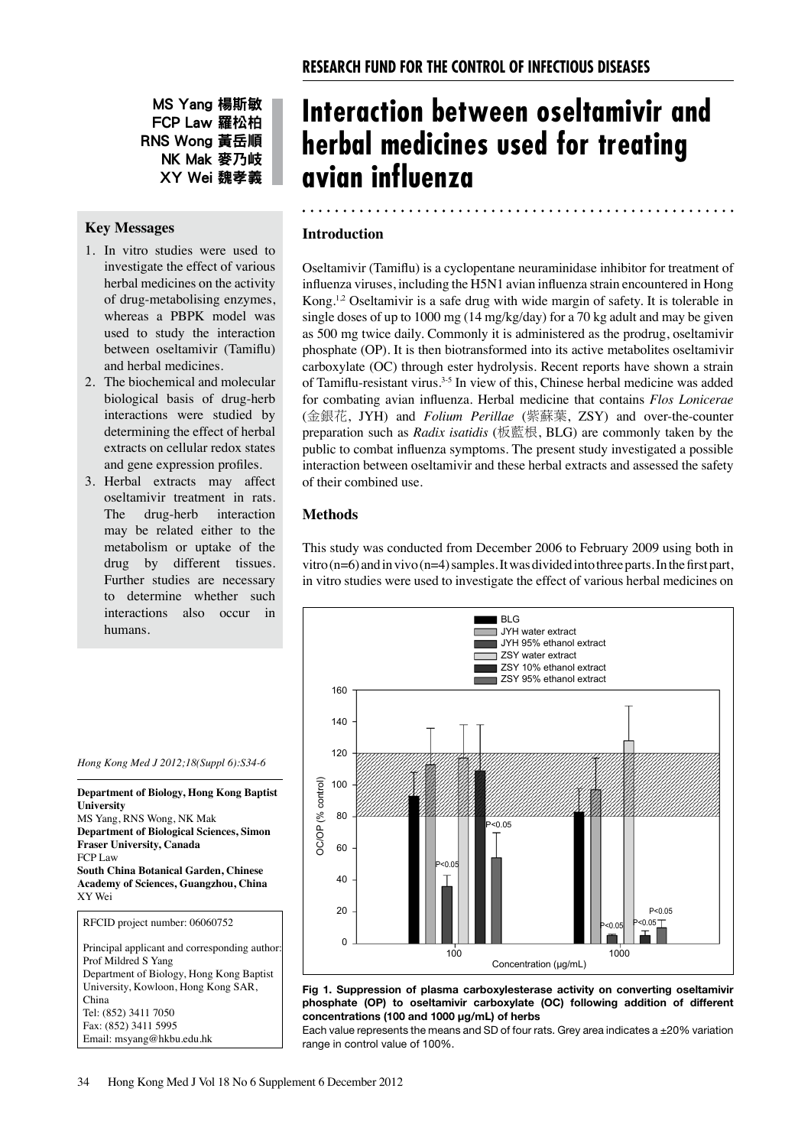MS Yang 楊斯敏 FCP Law 羅松柏 RNS Wong 黃岳順 NK Mak 麥乃岐 XY Wei 魏孝義

## **Key Messages**

- 1. In vitro studies were used to investigate the effect of various herbal medicines on the activity of drug-metabolising enzymes, whereas a PBPK model was used to study the interaction between oseltamivir (Tamiflu) and herbal medicines.
- 2. The biochemical and molecular biological basis of drug-herb interactions were studied by determining the effect of herbal extracts on cellular redox states and gene expression profiles.
- 3. Herbal extracts may affect oseltamivir treatment in rats. The drug-herb interaction may be related either to the metabolism or uptake of the drug by different tissues. Further studies are necessary to determine whether such interactions also occur in humans.

# **Interaction between oseltamivir and herbal medicines used for treating avian influenza**

## **Introduction**

Oseltamivir (Tamiflu) is a cyclopentane neuraminidase inhibitor for treatment of influenza viruses, including the H5N1 avian influenza strain encountered in Hong Kong.<sup>1,2</sup> Oseltamivir is a safe drug with wide margin of safety. It is tolerable in single doses of up to 1000 mg (14 mg/kg/day) for a 70 kg adult and may be given as 500 mg twice daily. Commonly it is administered as the prodrug, oseltamivir phosphate (OP). It is then biotransformed into its active metabolites oseltamivir carboxylate (OC) through ester hydrolysis. Recent reports have shown a strain of Tamiflu-resistant virus.<sup>3-5</sup> In view of this, Chinese herbal medicine was added for combating avian influenza. Herbal medicine that contains *Flos Lonicerae* (金銀花, JYH) and *Folium Perillae* (紫蘇葉, ZSY) and over-the-counter preparation such as *Radix isatidis* (板藍根, BLG) are commonly taken by the public to combat influenza symptoms. The present study investigated a possible interaction between oseltamivir and these herbal extracts and assessed the safety of their combined use.

## **Methods**

This study was conducted from December 2006 to February 2009 using both in vitro (n=6) and in vivo (n=4) samples. It was divided into three parts. In the first part, in vitro studies were used to investigate the effect of various herbal medicines on



#### **Fig 1. Suppression of plasma carboxylesterase activity on converting oseltamivir phosphate (OP) to oseltamivir carboxylate (OC) following addition of different concentrations (100 and 1000 μg/mL) of herbs**

Each value represents the means and SD of four rats. Grey area indicates a  $\pm 20\%$  variation range in control value of 100%.

*Hong Kong Med J 2012;18(Suppl 6):S34-6*

**Department of Biology, Hong Kong Baptist** 

MS Yang, RNS Wong, NK Mak

**University** 

**Department of Biological Sciences, Simon Fraser University, Canada** FCP Law **South China Botanical Garden, Chinese Academy of Sciences, Guangzhou, China** XY Wei RFCID project number: 06060752 Principal applicant and corresponding author: Prof Mildred S Yang Department of Biology, Hong Kong Baptist University, Kowloon, Hong Kong SAR, China Tel: (852) 3411 7050 Fax: (852) 3411 5995

Email: msyang@hkbu.edu.hk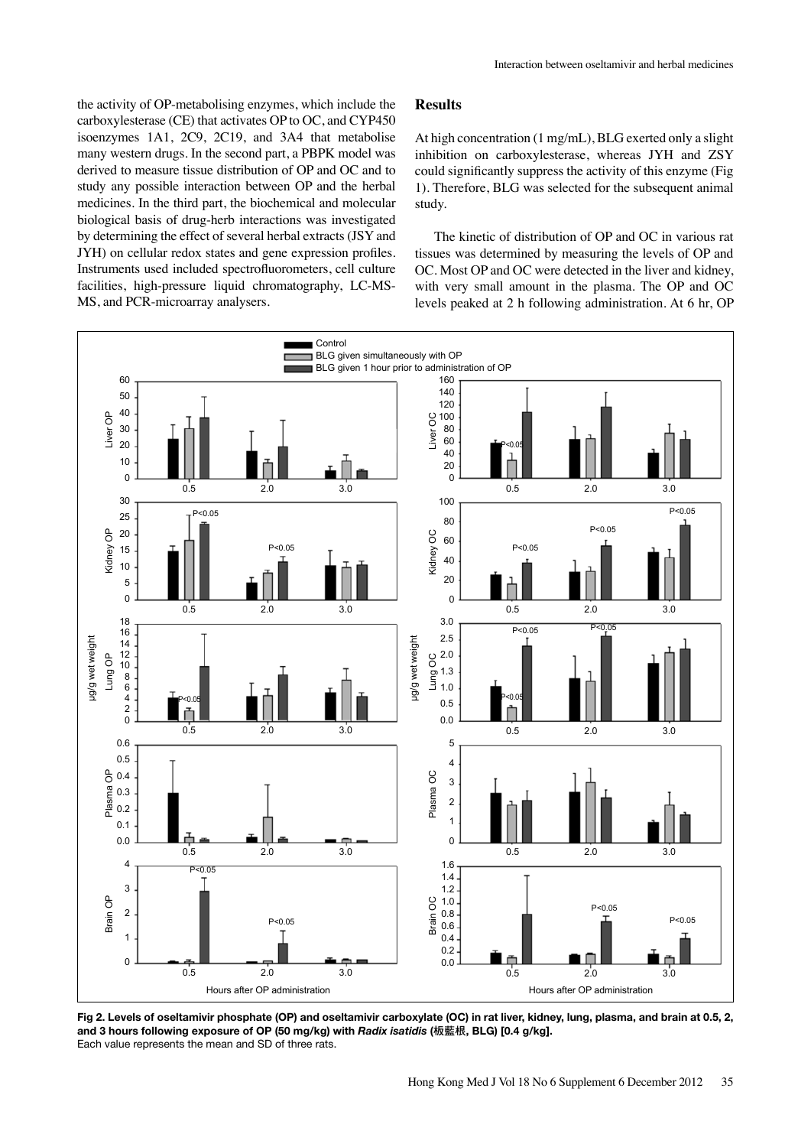the activity of OP-metabolising enzymes, which include the carboxylesterase (CE) that activates OP to OC, and CYP450 isoenzymes 1A1, 2C9, 2C19, and 3A4 that metabolise many western drugs. In the second part, a PBPK model was derived to measure tissue distribution of OP and OC and to study any possible interaction between OP and the herbal medicines. In the third part, the biochemical and molecular biological basis of drug-herb interactions was investigated by determining the effect of several herbal extracts (JSY and JYH) on cellular redox states and gene expression profiles. Instruments used included spectrofluorometers, cell culture facilities, high-pressure liquid chromatography, LC-MS-MS, and PCR-microarray analysers.

### **Results**

At high concentration (1 mg/mL), BLG exerted only a slight inhibition on carboxylesterase, whereas JYH and ZSY could significantly suppress the activity of this enzyme (Fig 1). Therefore, BLG was selected for the subsequent animal study.

The kinetic of distribution of OP and OC in various rat tissues was determined by measuring the levels of OP and OC. Most OP and OC were detected in the liver and kidney, with very small amount in the plasma. The OP and OC levels peaked at 2 h following administration. At 6 hr, OP



**Fig 2. Levels of oseltamivir phosphate (OP) and oseltamivir carboxylate (OC) in rat liver, kidney, lung, plasma, and brain at 0.5, 2, and 3 hours following exposure of OP (50 mg/kg) with** *Radix isatidis* **(**板藍根**, BLG) [0.4 g/kg].**  Each value represents the mean and SD of three rats.